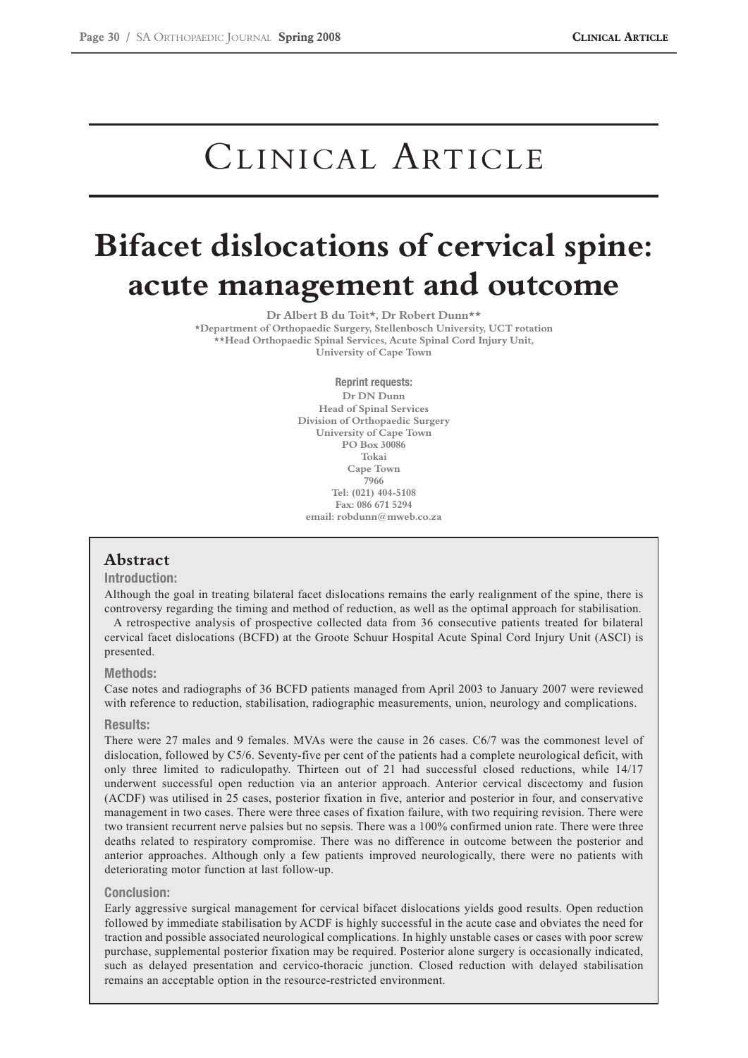# CLINICAL ARTICLE

# **Bifacet dislocations of cervical spine: acute management and outcome**

**Dr Albert B du Toit\*, Dr Robert Dunn\*\***

**\*Department of Orthopaedic Surgery, Stellenbosch University, UCT rotation \*\*Head Orthopaedic Spinal Services, Acute Spinal Cord Injury Unit, University of Cape Town**

> **Reprint requests: Dr DN Dunn Head of Spinal Services Division of Orthopaedic Surgery University of Cape Town PO Box 30086 Tokai Cape Town 7966 Tel: (021) 404-5108 Fax: 086 671 5294 email: robdunn@mweb.co.za**

# **Abstract**

## **Introduction:**

Although the goal in treating bilateral facet dislocations remains the early realignment of the spine, there is controversy regarding the timing and method of reduction, as well as the optimal approach for stabilisation.

A retrospective analysis of prospective collected data from 36 consecutive patients treated for bilateral cervical facet dislocations (BCFD) at the Groote Schuur Hospital Acute Spinal Cord Injury Unit (ASCI) is presented.

## **Methods:**

Case notes and radiographs of 36 BCFD patients managed from April 2003 to January 2007 were reviewed with reference to reduction, stabilisation, radiographic measurements, union, neurology and complications.

#### **Results:**

There were 27 males and 9 females. MVAs were the cause in 26 cases. C6/7 was the commonest level of dislocation, followed by C5/6. Seventy-five per cent of the patients had a complete neurological deficit, with only three limited to radiculopathy. Thirteen out of 21 had successful closed reductions, while 14/17 underwent successful open reduction via an anterior approach. Anterior cervical discectomy and fusion (ACDF) was utilised in 25 cases, posterior fixation in five, anterior and posterior in four, and conservative management in two cases. There were three cases of fixation failure, with two requiring revision. There were two transient recurrent nerve palsies but no sepsis. There was a 100% confirmed union rate. There were three deaths related to respiratory compromise. There was no difference in outcome between the posterior and anterior approaches. Although only a few patients improved neurologically, there were no patients with deteriorating motor function at last follow-up.

#### **Conclusion:**

Early aggressive surgical management for cervical bifacet dislocations yields good results. Open reduction followed by immediate stabilisation by ACDF is highly successful in the acute case and obviates the need for traction and possible associated neurological complications. In highly unstable cases or cases with poor screw purchase, supplemental posterior fixation may be required. Posterior alone surgery is occasionally indicated, such as delayed presentation and cervico-thoracic junction. Closed reduction with delayed stabilisation remains an acceptable option in the resource-restricted environment.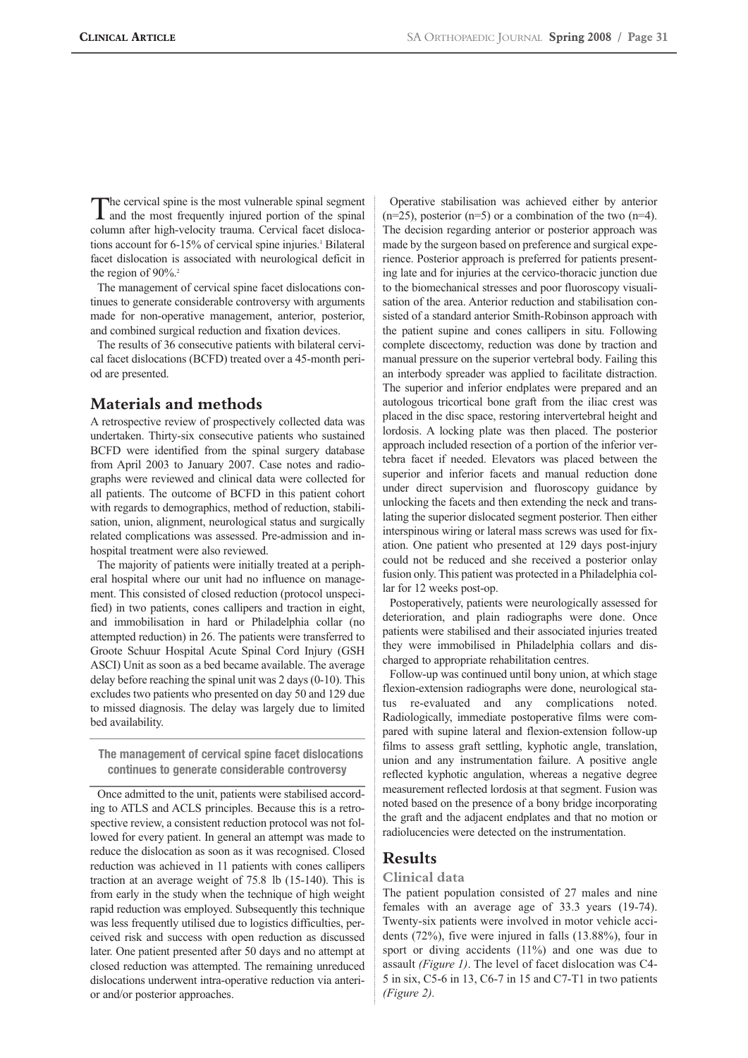The cervical spine is the most vulnerable spinal segment and the most frequently injured portion of the spinal column after high-velocity trauma. Cervical facet dislocations account for 6-15% of cervical spine injuries.<sup>1</sup> Bilateral facet dislocation is associated with neurological deficit in the region of  $90\%$ <sup>2</sup>

The management of cervical spine facet dislocations continues to generate considerable controversy with arguments made for non-operative management, anterior, posterior, and combined surgical reduction and fixation devices.

The results of 36 consecutive patients with bilateral cervical facet dislocations (BCFD) treated over a 45-month period are presented.

# **Materials and methods**

A retrospective review of prospectively collected data was undertaken. Thirty-six consecutive patients who sustained BCFD were identified from the spinal surgery database from April 2003 to January 2007. Case notes and radiographs were reviewed and clinical data were collected for all patients. The outcome of BCFD in this patient cohort with regards to demographics, method of reduction, stabilisation, union, alignment, neurological status and surgically related complications was assessed. Pre-admission and inhospital treatment were also reviewed.

The majority of patients were initially treated at a peripheral hospital where our unit had no influence on management. This consisted of closed reduction (protocol unspecified) in two patients, cones callipers and traction in eight, and immobilisation in hard or Philadelphia collar (no attempted reduction) in 26. The patients were transferred to Groote Schuur Hospital Acute Spinal Cord Injury (GSH ASCI) Unit as soon as a bed became available. The average delay before reaching the spinal unit was 2 days (0-10). This excludes two patients who presented on day 50 and 129 due to missed diagnosis. The delay was largely due to limited bed availability.

**The management of cervical spine facet dislocations continues to generate considerable controversy**

Once admitted to the unit, patients were stabilised according to ATLS and ACLS principles. Because this is a retrospective review, a consistent reduction protocol was not followed for every patient. In general an attempt was made to reduce the dislocation as soon as it was recognised. Closed reduction was achieved in 11 patients with cones callipers traction at an average weight of 75.8 lb (15-140). This is from early in the study when the technique of high weight rapid reduction was employed. Subsequently this technique was less frequently utilised due to logistics difficulties, perceived risk and success with open reduction as discussed later. One patient presented after 50 days and no attempt at closed reduction was attempted. The remaining unreduced dislocations underwent intra-operative reduction via anterior and/or posterior approaches.

Operative stabilisation was achieved either by anterior  $(n=25)$ , posterior  $(n=5)$  or a combination of the two  $(n=4)$ . The decision regarding anterior or posterior approach was made by the surgeon based on preference and surgical experience. Posterior approach is preferred for patients presenting late and for injuries at the cervico-thoracic junction due to the biomechanical stresses and poor fluoroscopy visualisation of the area. Anterior reduction and stabilisation consisted of a standard anterior Smith-Robinson approach with the patient supine and cones callipers in situ. Following complete discectomy, reduction was done by traction and manual pressure on the superior vertebral body. Failing this an interbody spreader was applied to facilitate distraction. The superior and inferior endplates were prepared and an autologous tricortical bone graft from the iliac crest was placed in the disc space, restoring intervertebral height and lordosis. A locking plate was then placed. The posterior approach included resection of a portion of the inferior vertebra facet if needed. Elevators was placed between the superior and inferior facets and manual reduction done under direct supervision and fluoroscopy guidance by unlocking the facets and then extending the neck and translating the superior dislocated segment posterior. Then either interspinous wiring or lateral mass screws was used for fixation. One patient who presented at 129 days post-injury could not be reduced and she received a posterior onlay fusion only. This patient was protected in a Philadelphia collar for 12 weeks post-op.

Postoperatively, patients were neurologically assessed for deterioration, and plain radiographs were done. Once patients were stabilised and their associated injuries treated they were immobilised in Philadelphia collars and discharged to appropriate rehabilitation centres.

Follow-up was continued until bony union, at which stage flexion-extension radiographs were done, neurological status re-evaluated and any complications noted. Radiologically, immediate postoperative films were compared with supine lateral and flexion-extension follow-up films to assess graft settling, kyphotic angle, translation, union and any instrumentation failure. A positive angle reflected kyphotic angulation, whereas a negative degree measurement reflected lordosis at that segment. Fusion was noted based on the presence of a bony bridge incorporating the graft and the adjacent endplates and that no motion or radiolucencies were detected on the instrumentation.

# **Results**

#### **Clinical data**

The patient population consisted of 27 males and nine females with an average age of 33.3 years (19-74). Twenty-six patients were involved in motor vehicle accidents (72%), five were injured in falls (13.88%), four in sport or diving accidents (11%) and one was due to assault *(Figure 1)*. The level of facet dislocation was C4- 5 in six, C5-6 in 13, C6-7 in 15 and C7-T1 in two patients *(Figure 2).*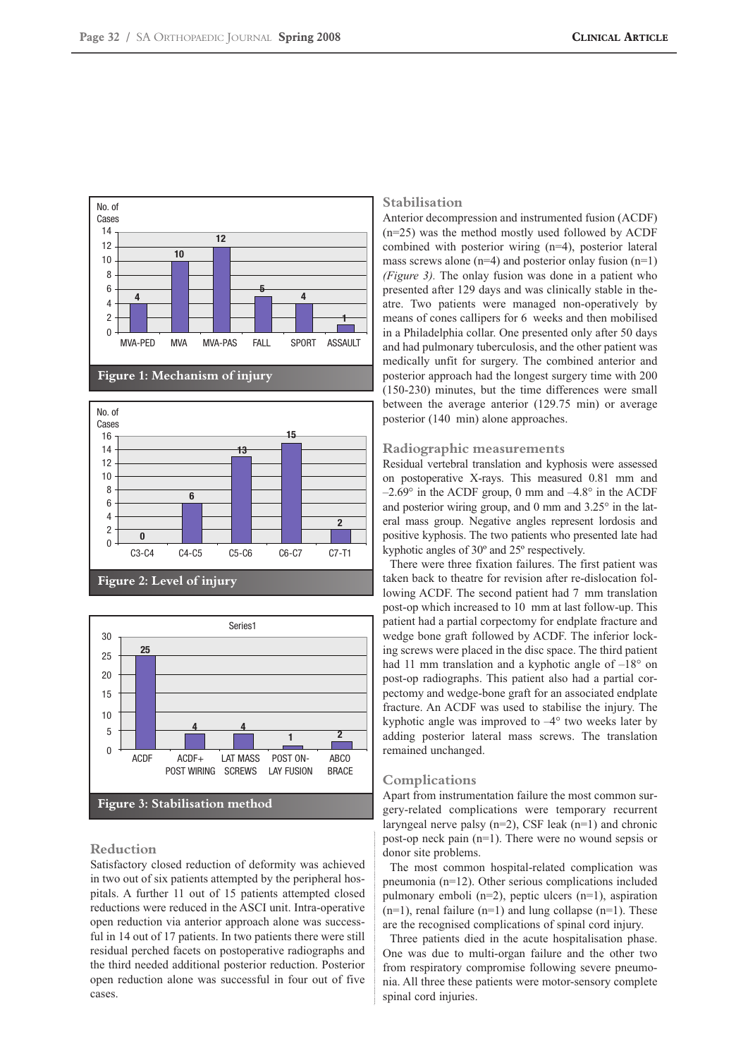





# **Reduction**

Satisfactory closed reduction of deformity was achieved in two out of six patients attempted by the peripheral hospitals. A further 11 out of 15 patients attempted closed reductions were reduced in the ASCI unit. Intra-operative open reduction via anterior approach alone was successful in 14 out of 17 patients. In two patients there were still residual perched facets on postoperative radiographs and the third needed additional posterior reduction. Posterior open reduction alone was successful in four out of five cases.

## **Stabilisation**

Anterior decompression and instrumented fusion (ACDF) (n=25) was the method mostly used followed by ACDF combined with posterior wiring (n=4), posterior lateral mass screws alone  $(n=4)$  and posterior onlay fusion  $(n=1)$ *(Figure 3).* The onlay fusion was done in a patient who presented after 129 days and was clinically stable in theatre. Two patients were managed non-operatively by means of cones callipers for 6 weeks and then mobilised in a Philadelphia collar. One presented only after 50 days and had pulmonary tuberculosis, and the other patient was medically unfit for surgery. The combined anterior and posterior approach had the longest surgery time with 200 (150-230) minutes, but the time differences were small between the average anterior (129.75 min) or average posterior (140 min) alone approaches.

## **Radiographic measurements**

Residual vertebral translation and kyphosis were assessed on postoperative X-rays. This measured 0.81 mm and  $-2.69^{\circ}$  in the ACDF group, 0 mm and  $-4.8^{\circ}$  in the ACDF and posterior wiring group, and 0 mm and 3.25° in the lateral mass group. Negative angles represent lordosis and positive kyphosis. The two patients who presented late had kyphotic angles of 30º and 25º respectively.

There were three fixation failures. The first patient was taken back to theatre for revision after re-dislocation following ACDF. The second patient had 7 mm translation post-op which increased to 10 mm at last follow-up. This patient had a partial corpectomy for endplate fracture and wedge bone graft followed by ACDF. The inferior locking screws were placed in the disc space. The third patient had 11 mm translation and a kyphotic angle of  $-18°$  on post-op radiographs. This patient also had a partial corpectomy and wedge-bone graft for an associated endplate fracture. An ACDF was used to stabilise the injury. The kyphotic angle was improved to  $-4^{\circ}$  two weeks later by adding posterior lateral mass screws. The translation remained unchanged.

## **Complications**

Apart from instrumentation failure the most common surgery-related complications were temporary recurrent laryngeal nerve palsy  $(n=2)$ , CSF leak  $(n=1)$  and chronic post-op neck pain (n=1). There were no wound sepsis or donor site problems.

The most common hospital-related complication was pneumonia (n=12). Other serious complications included pulmonary emboli (n=2), peptic ulcers (n=1), aspiration  $(n=1)$ , renal failure  $(n=1)$  and lung collapse  $(n=1)$ . These are the recognised complications of spinal cord injury.

Three patients died in the acute hospitalisation phase. One was due to multi-organ failure and the other two from respiratory compromise following severe pneumonia. All three these patients were motor-sensory complete spinal cord injuries.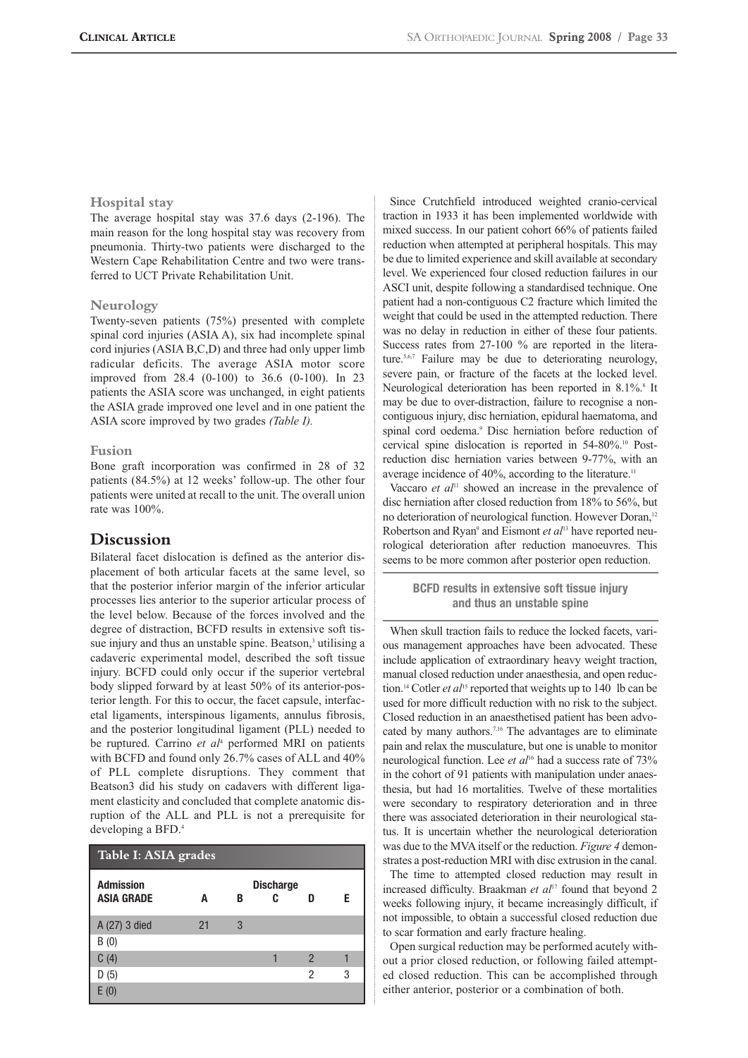## **Hospital stay**

The average hospital stay was 37.6 days (2-196). The main reason for the long hospital stay was recovery from pneumonia. Thirty-two patients were discharged to the Western Cape Rehabilitation Centre and two were transferred to UCT Private Rehabilitation Unit.

#### **Neurology**

Twenty-seven patients (75%) presented with complete spinal cord injuries (ASIA A), six had incomplete spinal cord injuries (ASIA B,C,D) and three had only upper limb radicular deficits. The average ASIA motor score improved from 28.4 (0-100) to 36.6 (0-100). In 23 patients the ASIA score was unchanged, in eight patients the ASIA grade improved one level and in one patient the ASIA score improved by two grades *(Table I).*

#### **Fusion**

Bone graft incorporation was confirmed in 28 of 32 patients (84.5%) at 12 weeks' follow-up. The other four patients were united at recall to the unit. The overall union rate was 100%.

# **Discussion**

Bilateral facet dislocation is defined as the anterior displacement of both articular facets at the same level, so that the posterior inferior margin of the inferior articular processes lies anterior to the superior articular process of the level below. Because of the forces involved and the degree of distraction, BCFD results in extensive soft tissue injury and thus an unstable spine. Beatson,<sup>3</sup> utilising a cadaveric experimental model, described the soft tissue injury. BCFD could only occur if the superior vertebral body slipped forward by at least 50% of its anterior-posterior length. For this to occur, the facet capsule, interfacetal ligaments, interspinous ligaments, annulus fibrosis, and the posterior longitudinal ligament (PLL) needed to be ruptured. Carrino *et al*<sup>4</sup> performed MRI on patients with BCFD and found only 26.7% cases of ALL and 40% of PLL complete disruptions. They comment that Beatson3 did his study on cadavers with different ligament elasticity and concluded that complete anatomic disruption of the ALL and PLL is not a prerequisite for developing a BFD.<sup>4</sup>

| Table I: ASIA grades                  |    |   |                       |                |   |
|---------------------------------------|----|---|-----------------------|----------------|---|
| <b>Admission</b><br><b>ASIA GRADE</b> | A  | В | <b>Discharge</b><br>C | n              | F |
| A (27) 3 died                         | 21 | 3 |                       |                |   |
| B(0)                                  |    |   |                       |                |   |
| C(4)                                  |    |   |                       | $\mathfrak{p}$ |   |
| D(5)                                  |    |   |                       | 2              | 3 |
| Ŀ.                                    |    |   |                       |                |   |

Since Crutchfield introduced weighted cranio-cervical traction in 1933 it has been implemented worldwide with mixed success. In our patient cohort 66% of patients failed reduction when attempted at peripheral hospitals. This may be due to limited experience and skill available at secondary level. We experienced four closed reduction failures in our ASCI unit, despite following a standardised technique. One patient had a non-contiguous C2 fracture which limited the weight that could be used in the attempted reduction. There was no delay in reduction in either of these four patients. Success rates from 27-100 % are reported in the literature.5,6,7 Failure may be due to deteriorating neurology, severe pain, or fracture of the facets at the locked level. Neurological deterioration has been reported in 8.1%.<sup>8</sup> It may be due to over-distraction, failure to recognise a noncontiguous injury, disc herniation, epidural haematoma, and spinal cord oedema.9 Disc herniation before reduction of cervical spine dislocation is reported in 54-80%.10 Postreduction disc herniation varies between 9-77%, with an average incidence of 40%, according to the literature.<sup>11</sup>

Vaccaro *et al*<sup>11</sup> showed an increase in the prevalence of disc herniation after closed reduction from 18% to 56%, but no deterioration of neurological function. However Doran,<sup>12</sup> Robertson and Ryan<sup>9</sup> and Eismont *et al*<sup>13</sup> have reported neurological deterioration after reduction manoeuvres. This seems to be more common after posterior open reduction.

# **BCFD results in extensive soft tissue injury and thus an unstable spine**

When skull traction fails to reduce the locked facets, various management approaches have been advocated. These include application of extraordinary heavy weight traction, manual closed reduction under anaesthesia, and open reduction.14 Cotler *et al*<sup>15</sup> reported that weights up to 140 lb can be used for more difficult reduction with no risk to the subject. Closed reduction in an anaesthetised patient has been advocated by many authors.7,16 The advantages are to eliminate pain and relax the musculature, but one is unable to monitor neurological function. Lee *et al*<sup>16</sup> had a success rate of 73% in the cohort of 91 patients with manipulation under anaesthesia, but had 16 mortalities. Twelve of these mortalities were secondary to respiratory deterioration and in three there was associated deterioration in their neurological status. It is uncertain whether the neurological deterioration was due to the MVA itself or the reduction. *Figure 4* demonstrates a post-reduction MRI with disc extrusion in the canal.

The time to attempted closed reduction may result in increased difficulty. Braakman *et al*<sup>17</sup> found that beyond 2 weeks following injury, it became increasingly difficult, if not impossible, to obtain a successful closed reduction due to scar formation and early fracture healing.

Open surgical reduction may be performed acutely without a prior closed reduction, or following failed attempted closed reduction. This can be accomplished through either anterior, posterior or a combination of both.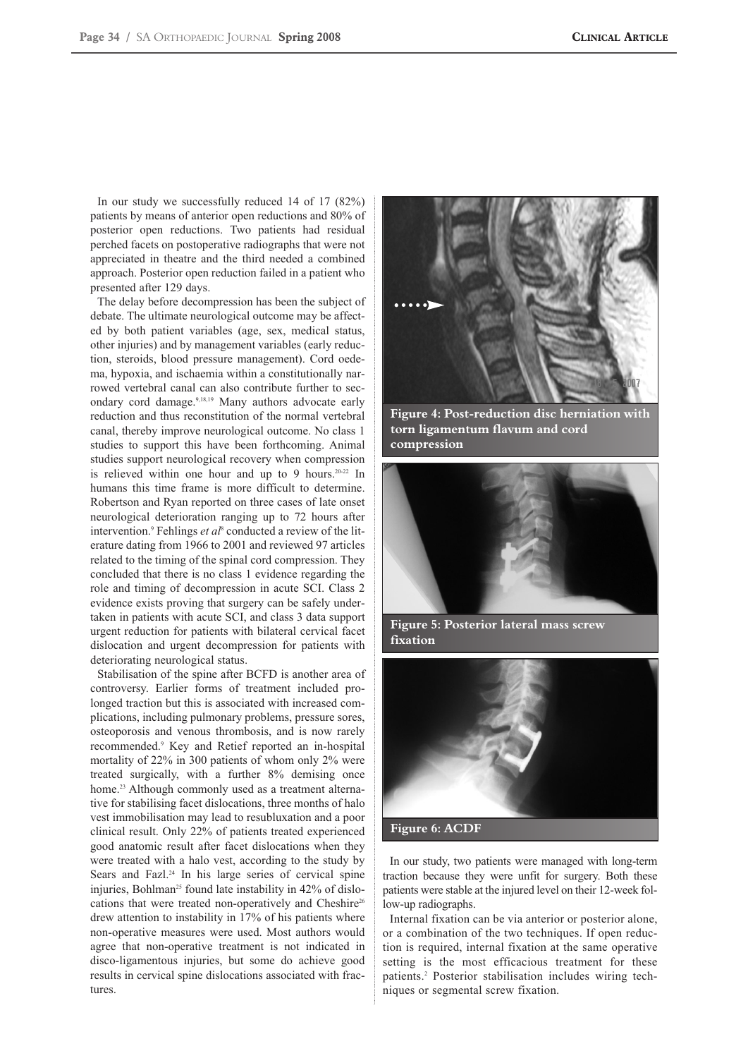In our study we successfully reduced 14 of 17 (82%) patients by means of anterior open reductions and 80% of posterior open reductions. Two patients had residual perched facets on postoperative radiographs that were not appreciated in theatre and the third needed a combined approach. Posterior open reduction failed in a patient who presented after 129 days.

The delay before decompression has been the subject of debate. The ultimate neurological outcome may be affected by both patient variables (age, sex, medical status, other injuries) and by management variables (early reduction, steroids, blood pressure management). Cord oedema, hypoxia, and ischaemia within a constitutionally narrowed vertebral canal can also contribute further to secondary cord damage.9,18,19 Many authors advocate early reduction and thus reconstitution of the normal vertebral canal, thereby improve neurological outcome. No class 1 studies to support this have been forthcoming. Animal studies support neurological recovery when compression is relieved within one hour and up to 9 hours.20-22 In humans this time frame is more difficult to determine. Robertson and Ryan reported on three cases of late onset neurological deterioration ranging up to 72 hours after intervention.<sup>9</sup> Fehlings *et al*<sup>8</sup> conducted a review of the literature dating from 1966 to 2001 and reviewed 97 articles related to the timing of the spinal cord compression. They concluded that there is no class 1 evidence regarding the role and timing of decompression in acute SCI. Class 2 evidence exists proving that surgery can be safely undertaken in patients with acute SCI, and class 3 data support urgent reduction for patients with bilateral cervical facet dislocation and urgent decompression for patients with deteriorating neurological status.

Stabilisation of the spine after BCFD is another area of controversy. Earlier forms of treatment included prolonged traction but this is associated with increased complications, including pulmonary problems, pressure sores, osteoporosis and venous thrombosis, and is now rarely recommended.9 Key and Retief reported an in-hospital mortality of 22% in 300 patients of whom only 2% were treated surgically, with a further 8% demising once home.<sup>23</sup> Although commonly used as a treatment alternative for stabilising facet dislocations, three months of halo vest immobilisation may lead to resubluxation and a poor clinical result. Only 22% of patients treated experienced good anatomic result after facet dislocations when they were treated with a halo vest, according to the study by Sears and Fazl.<sup>24</sup> In his large series of cervical spine injuries, Bohlman<sup>25</sup> found late instability in  $42\%$  of dislocations that were treated non-operatively and Cheshire<sup>26</sup> drew attention to instability in 17% of his patients where non-operative measures were used. Most authors would agree that non-operative treatment is not indicated in disco-ligamentous injuries, but some do achieve good results in cervical spine dislocations associated with fractures.



**Figure 4: Post-reduction disc herniation with torn ligamentum flavum and cord compression**



**Figure 5: Posterior lateral mass screw fixation**



In our study, two patients were managed with long-term traction because they were unfit for surgery. Both these patients were stable at the injured level on their 12-week follow-up radiographs.

Internal fixation can be via anterior or posterior alone, or a combination of the two techniques. If open reduction is required, internal fixation at the same operative setting is the most efficacious treatment for these patients.2 Posterior stabilisation includes wiring techniques or segmental screw fixation.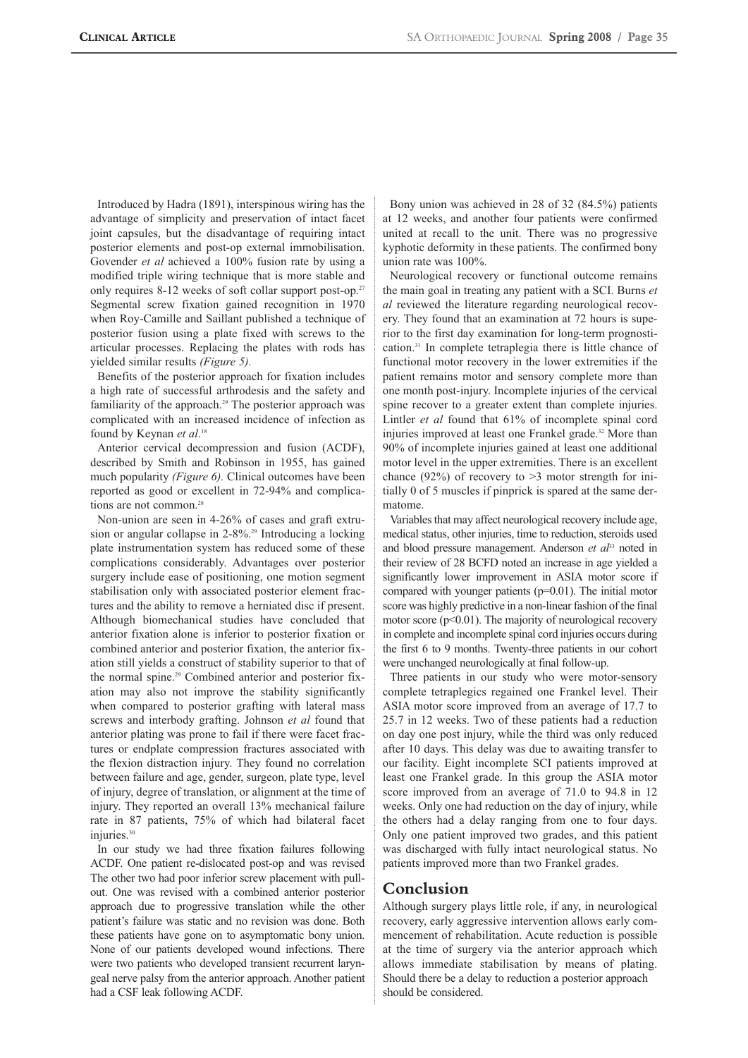Introduced by Hadra (1891), interspinous wiring has the advantage of simplicity and preservation of intact facet joint capsules, but the disadvantage of requiring intact posterior elements and post-op external immobilisation. Govender *et al* achieved a 100% fusion rate by using a modified triple wiring technique that is more stable and only requires 8-12 weeks of soft collar support post-op.<sup>27</sup> Segmental screw fixation gained recognition in 1970 when Roy-Camille and Saillant published a technique of posterior fusion using a plate fixed with screws to the articular processes. Replacing the plates with rods has yielded similar results *(Figure 5).*

Benefits of the posterior approach for fixation includes a high rate of successful arthrodesis and the safety and familiarity of the approach.<sup>29</sup> The posterior approach was complicated with an increased incidence of infection as found by Keynan *et al*. 18

Anterior cervical decompression and fusion (ACDF), described by Smith and Robinson in 1955, has gained much popularity *(Figure 6)*. Clinical outcomes have been reported as good or excellent in 72-94% and complications are not common.<sup>28</sup>

Non-union are seen in 4-26% of cases and graft extrusion or angular collapse in 2-8%.<sup>29</sup> Introducing a locking plate instrumentation system has reduced some of these complications considerably. Advantages over posterior surgery include ease of positioning, one motion segment stabilisation only with associated posterior element fractures and the ability to remove a herniated disc if present. Although biomechanical studies have concluded that anterior fixation alone is inferior to posterior fixation or combined anterior and posterior fixation, the anterior fixation still yields a construct of stability superior to that of the normal spine.<sup>29</sup> Combined anterior and posterior fixation may also not improve the stability significantly when compared to posterior grafting with lateral mass screws and interbody grafting. Johnson *et al* found that anterior plating was prone to fail if there were facet fractures or endplate compression fractures associated with the flexion distraction injury. They found no correlation between failure and age, gender, surgeon, plate type, level of injury, degree of translation, or alignment at the time of injury. They reported an overall 13% mechanical failure rate in 87 patients, 75% of which had bilateral facet injuries<sup>30</sup>

In our study we had three fixation failures following ACDF. One patient re-dislocated post-op and was revised The other two had poor inferior screw placement with pullout. One was revised with a combined anterior posterior approach due to progressive translation while the other patient's failure was static and no revision was done. Both these patients have gone on to asymptomatic bony union. None of our patients developed wound infections. There were two patients who developed transient recurrent laryngeal nerve palsy from the anterior approach. Another patient had a CSF leak following ACDF.

Bony union was achieved in 28 of 32 (84.5%) patients at 12 weeks, and another four patients were confirmed united at recall to the unit. There was no progressive kyphotic deformity in these patients. The confirmed bony union rate was 100%.

Neurological recovery or functional outcome remains the main goal in treating any patient with a SCI. Burns *et al* reviewed the literature regarding neurological recovery. They found that an examination at 72 hours is superior to the first day examination for long-term prognostication.31 In complete tetraplegia there is little chance of functional motor recovery in the lower extremities if the patient remains motor and sensory complete more than one month post-injury. Incomplete injuries of the cervical spine recover to a greater extent than complete injuries. Lintler *et al* found that 61% of incomplete spinal cord injuries improved at least one Frankel grade.<sup>32</sup> More than 90% of incomplete injuries gained at least one additional motor level in the upper extremities. There is an excellent chance (92%) of recovery to  $>3$  motor strength for initially 0 of 5 muscles if pinprick is spared at the same dermatome.

Variables that may affect neurological recovery include age, medical status, other injuries, time to reduction, steroids used and blood pressure management. Anderson *et al*<sup>33</sup> noted in their review of 28 BCFD noted an increase in age yielded a significantly lower improvement in ASIA motor score if compared with younger patients (p=0.01). The initial motor score was highly predictive in a non-linear fashion of the final motor score ( $p$ <0.01). The majority of neurological recovery in complete and incomplete spinal cord injuries occurs during the first 6 to 9 months. Twenty-three patients in our cohort were unchanged neurologically at final follow-up.

Three patients in our study who were motor-sensory complete tetraplegics regained one Frankel level. Their ASIA motor score improved from an average of 17.7 to 25.7 in 12 weeks. Two of these patients had a reduction on day one post injury, while the third was only reduced after 10 days. This delay was due to awaiting transfer to our facility. Eight incomplete SCI patients improved at least one Frankel grade. In this group the ASIA motor score improved from an average of 71.0 to 94.8 in 12 weeks. Only one had reduction on the day of injury, while the others had a delay ranging from one to four days. Only one patient improved two grades, and this patient was discharged with fully intact neurological status. No patients improved more than two Frankel grades.

# **Conclusion**

Although surgery plays little role, if any, in neurological recovery, early aggressive intervention allows early commencement of rehabilitation. Acute reduction is possible at the time of surgery via the anterior approach which allows immediate stabilisation by means of plating. Should there be a delay to reduction a posterior approach should be considered.